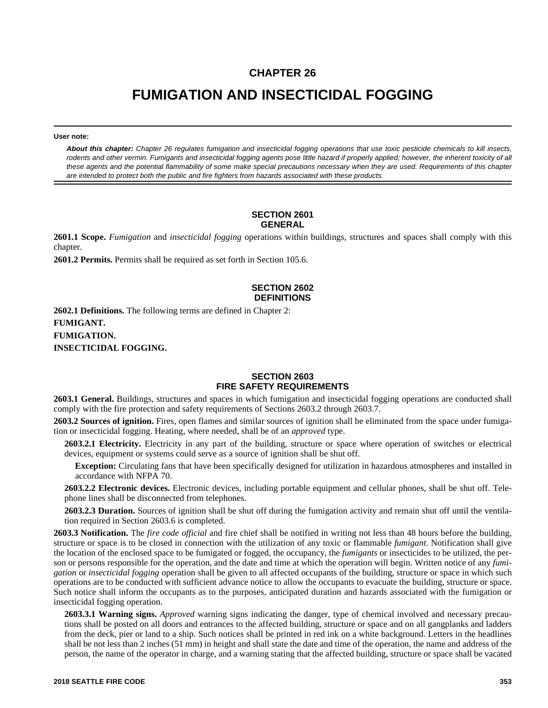# **CHAPTER 26**

# **FUMIGATION AND INSECTICIDAL FOGGING**

**User note:**

*About this chapter: Chapter 26 regulates fumigation and insecticidal fogging operations that use toxic pesticide chemicals to kill insects, rodents and other vermin. Fumigants and insecticidal fogging agents pose little hazard if properly applied; however, the inherent toxicity of all these agents and the potential flammability of some make special precautions necessary when they are used. Requirements of this chapter are intended to protect both the public and fire fighters from hazards associated with these products.*

#### **SECTION 2601 GENERAL**

**2601.1 Scope.** *Fumigation* and *insecticidal fogging* operations within buildings, structures and spaces shall comply with this chapter.

**2601.2 Permits.** Permits shall be required as set forth in Section 105.6.

## **SECTION 2602 DEFINITIONS**

**2602.1 Definitions.** The following terms are defined in Chapter 2: **FUMIGANT. FUMIGATION. INSECTICIDAL FOGGING.**

## **SECTION 2603 FIRE SAFETY REQUIREMENTS**

**2603.1 General.** Buildings, structures and spaces in which fumigation and insecticidal fogging operations are conducted shall comply with the fire protection and safety requirements of Sections 2603.2 through 2603.7.

**2603.2 Sources of ignition.** Fires, open flames and similar sources of ignition shall be eliminated from the space under fumigation or insecticidal fogging. Heating, where needed, shall be of an *approved* type.

**2603.2.1 Electricity.** Electricity in any part of the building, structure or space where operation of switches or electrical devices, equipment or systems could serve as a source of ignition shall be shut off.

**Exception:** Circulating fans that have been specifically designed for utilization in hazardous atmospheres and installed in accordance with NFPA 70.

**2603.2.2 Electronic devices.** Electronic devices, including portable equipment and cellular phones, shall be shut off. Telephone lines shall be disconnected from telephones.

**2603.2.3 Duration.** Sources of ignition shall be shut off during the fumigation activity and remain shut off until the ventilation required in Section 2603.6 is completed.

**2603.3 Notification.** The *fire code official* and fire chief shall be notified in writing not less than 48 hours before the building, structure or space is to be closed in connection with the utilization of any toxic or flammable *fumigant*. Notification shall give the location of the enclosed space to be fumigated or fogged, the occupancy, the *fumigants* or insecticides to be utilized, the person or persons responsible for the operation, and the date and time at which the operation will begin. Written notice of any *fumigation* or *insecticidal fogging* operation shall be given to all affected occupants of the building, structure or space in which such operations are to be conducted with sufficient advance notice to allow the occupants to evacuate the building, structure or space. Such notice shall inform the occupants as to the purposes, anticipated duration and hazards associated with the fumigation or insecticidal fogging operation.

**2603.3.1 Warning signs.** *Approved* warning signs indicating the danger, type of chemical involved and necessary precautions shall be posted on all doors and entrances to the affected building, structure or space and on all gangplanks and ladders from the deck, pier or land to a ship. Such notices shall be printed in red ink on a white background. Letters in the headlines shall be not less than 2 inches (51 mm) in height and shall state the date and time of the operation, the name and address of the person, the name of the operator in charge, and a warning stating that the affected building, structure or space shall be vacated